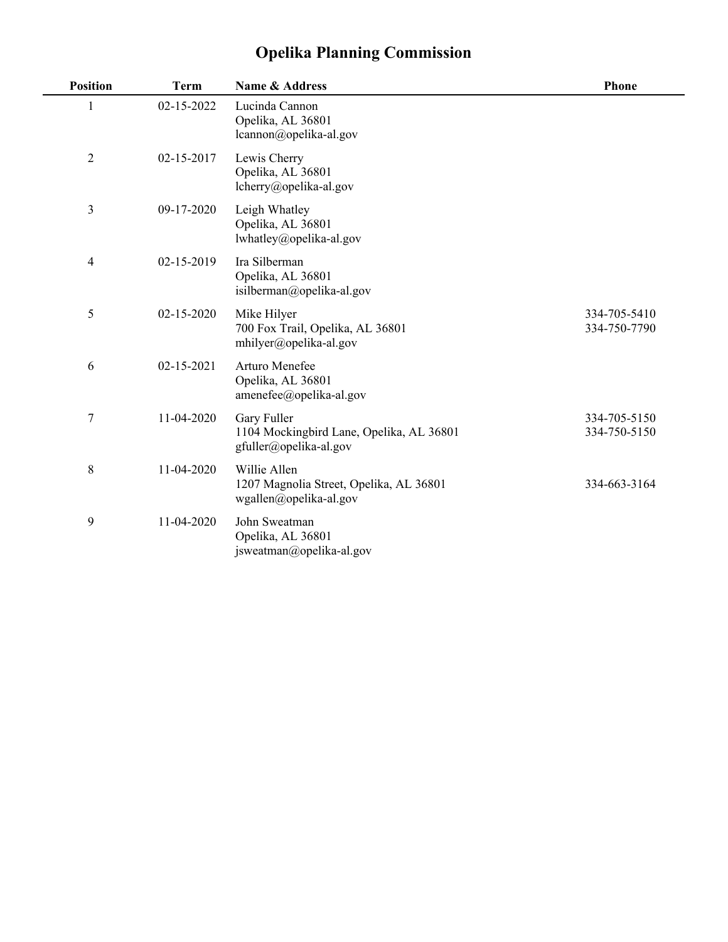## **Opelika Planning Commission**

| <b>Position</b> | <b>Term</b> | Name & Address                                                                    | Phone                        |
|-----------------|-------------|-----------------------------------------------------------------------------------|------------------------------|
| 1               | 02-15-2022  | Lucinda Cannon<br>Opelika, AL 36801<br>lcannon@opelika-al.gov                     |                              |
| $\sqrt{2}$      | 02-15-2017  | Lewis Cherry<br>Opelika, AL 36801<br>lcherry@opelika-al.gov                       |                              |
| 3               | 09-17-2020  | Leigh Whatley<br>Opelika, AL 36801<br>lwhatley@opelika-al.gov                     |                              |
| $\overline{4}$  | 02-15-2019  | Ira Silberman<br>Opelika, AL 36801<br>isilberman@opelika-al.gov                   |                              |
| 5               | 02-15-2020  | Mike Hilyer<br>700 Fox Trail, Opelika, AL 36801<br>mhilyer@opelika-al.gov         | 334-705-5410<br>334-750-7790 |
| 6               | 02-15-2021  | Arturo Menefee<br>Opelika, AL 36801<br>$amenefee(\partial)$ opelika-al.gov        |                              |
| $\sqrt{ }$      | 11-04-2020  | Gary Fuller<br>1104 Mockingbird Lane, Opelika, AL 36801<br>gfuller@opelika-al.gov | 334-705-5150<br>334-750-5150 |
| $8\,$           | 11-04-2020  | Willie Allen<br>1207 Magnolia Street, Opelika, AL 36801<br>wgallen@opelika-al.gov | 334-663-3164                 |
| 9               | 11-04-2020  | John Sweatman<br>Opelika, AL 36801<br>jsweatman@opelika-al.gov                    |                              |